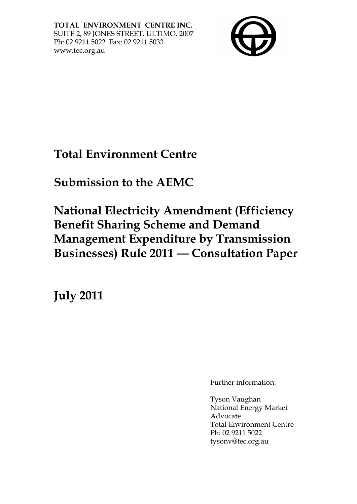**TOTAL ENVIRONMENT CENTRE INC.**  SUITE 2, 89 JONES STREET, ULTIMO. 2007 Ph: 02 9211 5022 Fax: 02 9211 5033 www.tec.org.au



# **Total Environment Centre**

**Submission to the AEMC** 

**National Electricity Amendment (Efficiency Benefit Sharing Scheme and Demand Management Expenditure by Transmission Businesses) Rule 2011 – Consultation Paper** 

**July 2011**

Further information:

Tyson Vaughan National Energy Market Advocate Total Environment Centre Ph: 02 9211 5022 tysonv@tec.org.au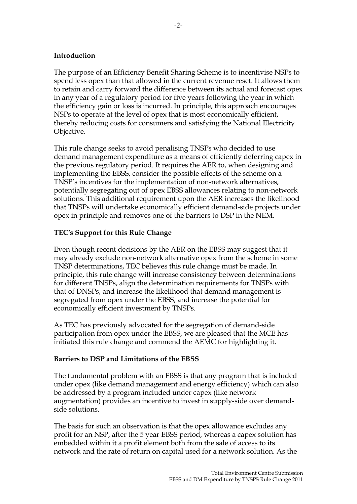## **Introduction**

The purpose of an Efficiency Benefit Sharing Scheme is to incentivise NSPs to spend less opex than that allowed in the current revenue reset. It allows them to retain and carry forward the difference between its actual and forecast opex in any year of a regulatory period for five years following the year in which the efficiency gain or loss is incurred. In principle, this approach encourages NSPs to operate at the level of opex that is most economically efficient, thereby reducing costs for consumers and satisfying the National Electricity Objective.

This rule change seeks to avoid penalising TNSPs who decided to use demand management expenditure as a means of efficiently deferring capex in the previous regulatory period. It requires the AER to, when designing and implementing the EBSS, consider the possible effects of the scheme on a TNSP's incentives for the implementation of non-network alternatives, potentially segregating out of opex EBSS allowances relating to non-network solutions. This additional requirement upon the AER increases the likelihood that TNSPs will undertake economically efficient demand-side projects under opex in principle and removes one of the barriers to DSP in the NEM.

## **TEC's Support for this Rule Change**

Even though recent decisions by the AER on the EBSS may suggest that it may already exclude non-network alternative opex from the scheme in some TNSP determinations, TEC believes this rule change must be made. In principle, this rule change will increase consistency between determinations for different TNSPs, align the determination requirements for TNSPs with that of DNSPs, and increase the likelihood that demand management is segregated from opex under the EBSS, and increase the potential for economically efficient investment by TNSPs.

As TEC has previously advocated for the segregation of demand-side participation from opex under the EBSS, we are pleased that the MCE has initiated this rule change and commend the AEMC for highlighting it.

#### **Barriers to DSP and Limitations of the EBSS**

The fundamental problem with an EBSS is that any program that is included under opex (like demand management and energy efficiency) which can also be addressed by a program included under capex (like network augmentation) provides an incentive to invest in supply-side over demandside solutions.

The basis for such an observation is that the opex allowance excludes any profit for an NSP, after the 5 year EBSS period, whereas a capex solution has embedded within it a profit element both from the sale of access to its network and the rate of return on capital used for a network solution. As the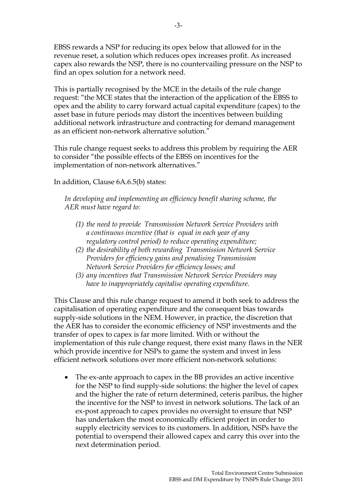EBSS rewards a NSP for reducing its opex below that allowed for in the revenue reset, a solution which reduces opex increases profit. As increased capex also rewards the NSP, there is no countervailing pressure on the NSP to find an opex solution for a network need.

This is partially recognised by the MCE in the details of the rule change request: "the MCE states that the interaction of the application of the EBSS to opex and the ability to carry forward actual capital expenditure (capex) to the asset base in future periods may distort the incentives between building additional network infrastructure and contracting for demand management as an efficient non-network alternative solution."

This rule change request seeks to address this problem by requiring the AER to consider "the possible effects of the EBSS on incentives for the implementation of non-network alternatives."

In addition, Clause 6A.6.5(b) states:

*In developing and implementing an efficiency benefit sharing scheme, the AER must have regard to:* 

- *(1) the need to provide Transmission Network Service Providers with a continuous incentive (that is equal in each year of any regulatory control period) to reduce operating expenditure;*
- *(2) the desirability of both rewarding Transmission Network Service Providers for efficiency gains and penalising Transmission Network Service Providers for efficiency losses; and*
- *(3) any incentives that Transmission Network Service Providers may have to inappropriately capitalise operating expenditure.*

This Clause and this rule change request to amend it both seek to address the capitalisation of operating expenditure and the consequent bias towards supply-side solutions in the NEM. However, in practice, the discretion that the AER has to consider the economic efficiency of NSP investments and the transfer of opex to capex is far more limited. With or without the implementation of this rule change request, there exist many flaws in the NER which provide incentive for NSPs to game the system and invest in less efficient network solutions over more efficient non-network solutions:

• The ex-ante approach to capex in the BB provides an active incentive for the NSP to find supply-side solutions: the higher the level of capex and the higher the rate of return determined, ceteris paribus, the higher the incentive for the NSP to invest in network solutions. The lack of an ex-post approach to capex provides no oversight to ensure that NSP has undertaken the most economically efficient project in order to supply electricity services to its customers. In addition, NSPs have the potential to overspend their allowed capex and carry this over into the next determination period.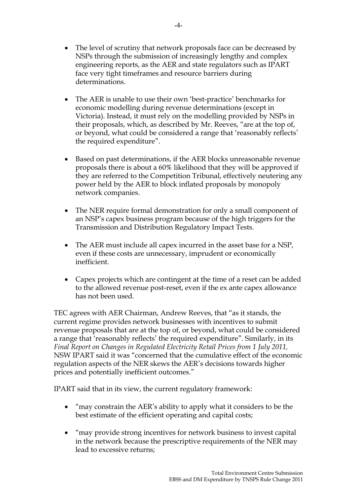- The level of scrutiny that network proposals face can be decreased by NSPs through the submission of increasingly lengthy and complex engineering reports, as the AER and state regulators such as IPART face very tight timeframes and resource barriers during determinations.
- The AER is unable to use their own 'best-practice' benchmarks for economic modelling during revenue determinations (except in Victoria). Instead, it must rely on the modelling provided by NSPs in their proposals, which, as described by Mr. Reeves, "are at the top of, or beyond, what could be considered a range that 'reasonably reflects' the required expenditure".
- Based on past determinations, if the AER blocks unreasonable revenue proposals there is about a 60% likelihood that they will be approved if they are referred to the Competition Tribunal, effectively neutering any power held by the AER to block inflated proposals by monopoly network companies.
- The NER require formal demonstration for only a small component of an NSP's capex business program because of the high triggers for the Transmission and Distribution Regulatory Impact Tests.
- The AER must include all capex incurred in the asset base for a NSP, even if these costs are unnecessary, imprudent or economically inefficient.
- Capex projects which are contingent at the time of a reset can be added to the allowed revenue post-reset, even if the ex ante capex allowance has not been used.

TEC agrees with AER Chairman, Andrew Reeves, that "as it stands, the current regime provides network businesses with incentives to submit revenue proposals that are at the top of, or beyond, what could be considered a range that 'reasonably reflects' the required expenditure". Similarly, in its *Final Report on Changes in Regulated Electricity Retail Prices from 1 July 2011,*  NSW IPART said it was "concerned that the cumulative effect of the economic regulation aspects of the NER skews the AER's decisions towards higher prices and potentially inefficient outcomes."

IPART said that in its view, the current regulatory framework:

- "may constrain the AER's ability to apply what it considers to be the best estimate of the efficient operating and capital costs;
- "may provide strong incentives for network business to invest capital in the network because the prescriptive requirements of the NER may lead to excessive returns;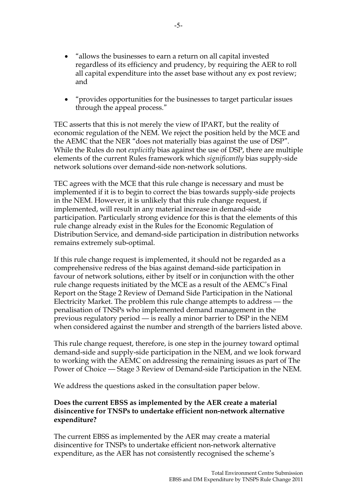- "allows the businesses to earn a return on all capital invested regardless of its efficiency and prudency, by requiring the AER to roll all capital expenditure into the asset base without any ex post review; and
- "provides opportunities for the businesses to target particular issues through the appeal process."

TEC asserts that this is not merely the view of IPART, but the reality of economic regulation of the NEM. We reject the position held by the MCE and the AEMC that the NER "does not materially bias against the use of DSP". While the Rules do not *explicitly* bias against the use of DSP, there are multiple elements of the current Rules framework which *significantly* bias supply-side network solutions over demand-side non-network solutions.

TEC agrees with the MCE that this rule change is necessary and must be implemented if it is to begin to correct the bias towards supply-side projects in the NEM. However, it is unlikely that this rule change request, if implemented, will result in any material increase in demand-side participation. Particularly strong evidence for this is that the elements of this rule change already exist in the Rules for the Economic Regulation of Distribution Service, and demand-side participation in distribution networks remains extremely sub-optimal.

If this rule change request is implemented, it should not be regarded as a comprehensive redress of the bias against demand-side participation in favour of network solutions, either by itself or in conjunction with the other rule change requests initiated by the MCE as a result of the AEMC's Final Report on the Stage 2 Review of Demand Side Participation in the National Electricity Market. The problem this rule change attempts to address – the penalisation of TNSPs who implemented demand management in the previous regulatory period – is really a minor barrier to DSP in the NEM when considered against the number and strength of the barriers listed above.

This rule change request, therefore, is one step in the journey toward optimal demand-side and supply-side participation in the NEM, and we look forward to working with the AEMC on addressing the remaining issues as part of The Power of Choice – Stage 3 Review of Demand-side Participation in the NEM.

We address the questions asked in the consultation paper below.

## **Does the current EBSS as implemented by the AER create a material disincentive for TNSPs to undertake efficient non-network alternative expenditure?**

The current EBSS as implemented by the AER may create a material disincentive for TNSPs to undertake efficient non-network alternative expenditure, as the AER has not consistently recognised the scheme's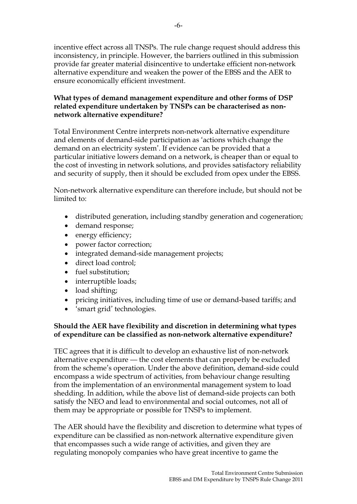incentive effect across all TNSPs. The rule change request should address this inconsistency, in principle. However, the barriers outlined in this submission provide far greater material disincentive to undertake efficient non-network alternative expenditure and weaken the power of the EBSS and the AER to ensure economically efficient investment.

# **What types of demand management expenditure and other forms of DSP related expenditure undertaken by TNSPs can be characterised as nonnetwork alternative expenditure?**

Total Environment Centre interprets non-network alternative expenditure and elements of demand-side participation as 'actions which change the demand on an electricity system'. If evidence can be provided that a particular initiative lowers demand on a network, is cheaper than or equal to the cost of investing in network solutions, and provides satisfactory reliability and security of supply, then it should be excluded from opex under the EBSS.

Non-network alternative expenditure can therefore include, but should not be limited to:

- distributed generation, including standby generation and cogeneration;
- demand response;
- energy efficiency;
- power factor correction;
- integrated demand-side management projects;
- direct load control;
- fuel substitution;
- interruptible loads;
- load shifting;
- pricing initiatives, including time of use or demand-based tariffs; and
- 'smart grid' technologies.

# **Should the AER have flexibility and discretion in determining what types of expenditure can be classified as non-network alternative expenditure?**

TEC agrees that it is difficult to develop an exhaustive list of non-network alternative expenditure – the cost elements that can properly be excluded from the scheme's operation. Under the above definition, demand-side could encompass a wide spectrum of activities, from behaviour change resulting from the implementation of an environmental management system to load shedding. In addition, while the above list of demand-side projects can both satisfy the NEO and lead to environmental and social outcomes, not all of them may be appropriate or possible for TNSPs to implement.

The AER should have the flexibility and discretion to determine what types of expenditure can be classified as non-network alternative expenditure given that encompasses such a wide range of activities, and given they are regulating monopoly companies who have great incentive to game the